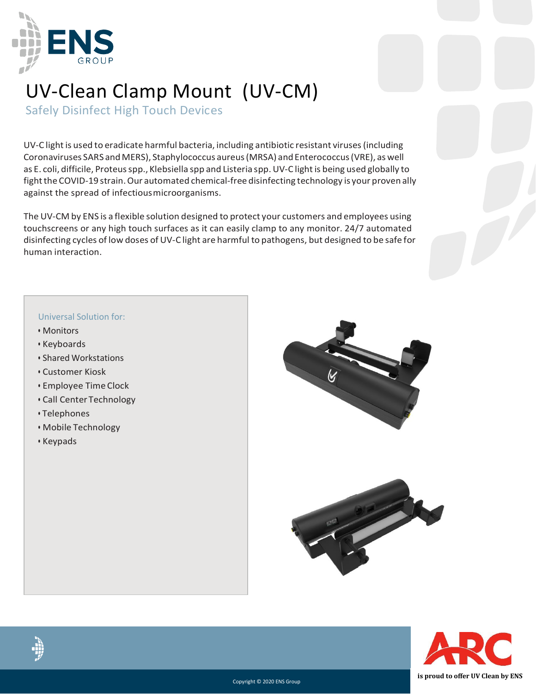

# UV-Clean Clamp Mount (UV-CM)

Safely Disinfect High Touch Devices

UV-C light is used to eradicate harmful bacteria, including antibiotic resistant viruses (including Coronaviruses SARS and MERS), Staphylococcus aureus(MRSA) andEnterococcus(VRE), as well as E. coli, difficile, Proteus spp., Klebsiella spp and Listeria spp. UV-C light is being used globally to fight the COVID-19 strain. Our automated chemical-free disinfecting technology is your proven ally against the spread of infectiousmicroorganisms.

The UV-CM by ENS is a flexible solution designed to protect your customers and employees using touchscreens or any high touch surfaces as it can easily clamp to any monitor. 24/7 automated disinfecting cycles of low doses of UV-C light are harmful to pathogens, but designed to be safe for human interaction.

#### Universal Solution for:

- Monitors
- Keyboards
- Shared Workstations
- Customer Kiosk
- Employee Time Clock
- Call Center Technology
- Telephones
- Mobile Technology
- Keypads